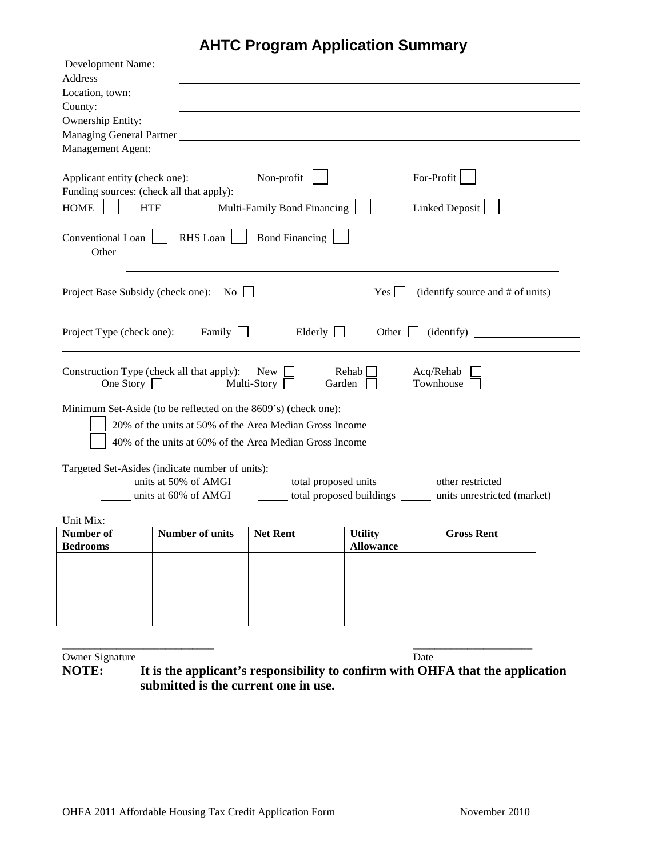## **AHTC Program Application Summary**

| Development Name:                        |                                                                                                                                                                                                                                |                             |                                    |                                                             |  |
|------------------------------------------|--------------------------------------------------------------------------------------------------------------------------------------------------------------------------------------------------------------------------------|-----------------------------|------------------------------------|-------------------------------------------------------------|--|
| Address                                  |                                                                                                                                                                                                                                |                             |                                    |                                                             |  |
| Location, town:                          |                                                                                                                                                                                                                                |                             |                                    |                                                             |  |
| County:<br>Ownership Entity:             |                                                                                                                                                                                                                                |                             |                                    |                                                             |  |
|                                          | Managing General Partner Lawrence and Contract and Contract of the Contract of the Contract of the Contract of the Contract of the Contract of the Contract of the Contract of the Contract of the Contract of the Contract of |                             |                                    |                                                             |  |
| Management Agent:                        |                                                                                                                                                                                                                                |                             |                                    |                                                             |  |
|                                          |                                                                                                                                                                                                                                |                             |                                    |                                                             |  |
| Applicant entity (check one):            |                                                                                                                                                                                                                                | Non-profit                  |                                    | For-Profit                                                  |  |
| Funding sources: (check all that apply): |                                                                                                                                                                                                                                |                             |                                    |                                                             |  |
| HOME    <br><b>HTF</b>                   |                                                                                                                                                                                                                                | Multi-Family Bond Financing |                                    | Linked Deposit                                              |  |
| Other                                    | Conventional Loan     RHS Loan     Bond Financing                                                                                                                                                                              |                             |                                    |                                                             |  |
|                                          | Project Base Subsidy (check one): No □                                                                                                                                                                                         |                             | $Yes$                              | (identify source and # of units)                            |  |
| Project Type (check one):                | Family $\Box$                                                                                                                                                                                                                  | Elderly $\Box$              | Other $\Box$                       | (identity)                                                  |  |
| One Story $\Box$                         | Construction Type (check all that apply): New                                                                                                                                                                                  | Multi-Story<br>Garden       | Rehab                              | Acq/Rehab<br>Townhouse                                      |  |
|                                          | Minimum Set-Aside (to be reflected on the 8609's) (check one):                                                                                                                                                                 |                             |                                    |                                                             |  |
|                                          | 20% of the units at 50% of the Area Median Gross Income                                                                                                                                                                        |                             |                                    |                                                             |  |
|                                          | 40% of the units at 60% of the Area Median Gross Income                                                                                                                                                                        |                             |                                    |                                                             |  |
|                                          | Targeted Set-Asides (indicate number of units):                                                                                                                                                                                |                             |                                    |                                                             |  |
|                                          | units at 50% of AMGI                                                                                                                                                                                                           | total proposed units        |                                    | other restricted                                            |  |
|                                          | units at 60% of AMGI                                                                                                                                                                                                           |                             |                                    | total proposed buildings ______ units unrestricted (market) |  |
|                                          |                                                                                                                                                                                                                                |                             |                                    |                                                             |  |
| Unit Mix:<br>Number of                   | <b>Number of units</b>                                                                                                                                                                                                         | <b>Net Rent</b>             |                                    | <b>Gross Rent</b>                                           |  |
| <b>Bedrooms</b>                          |                                                                                                                                                                                                                                |                             | <b>Utility</b><br><b>Allowance</b> |                                                             |  |
|                                          |                                                                                                                                                                                                                                |                             |                                    |                                                             |  |
|                                          |                                                                                                                                                                                                                                |                             |                                    |                                                             |  |
|                                          |                                                                                                                                                                                                                                |                             |                                    |                                                             |  |
|                                          |                                                                                                                                                                                                                                |                             |                                    |                                                             |  |
|                                          |                                                                                                                                                                                                                                |                             |                                    |                                                             |  |
|                                          |                                                                                                                                                                                                                                |                             |                                    |                                                             |  |
| Owner Signature                          |                                                                                                                                                                                                                                |                             | Date                               |                                                             |  |

**NOTE: It is the applicant's responsibility to confirm with OHFA that the application submitted is the current one in use.**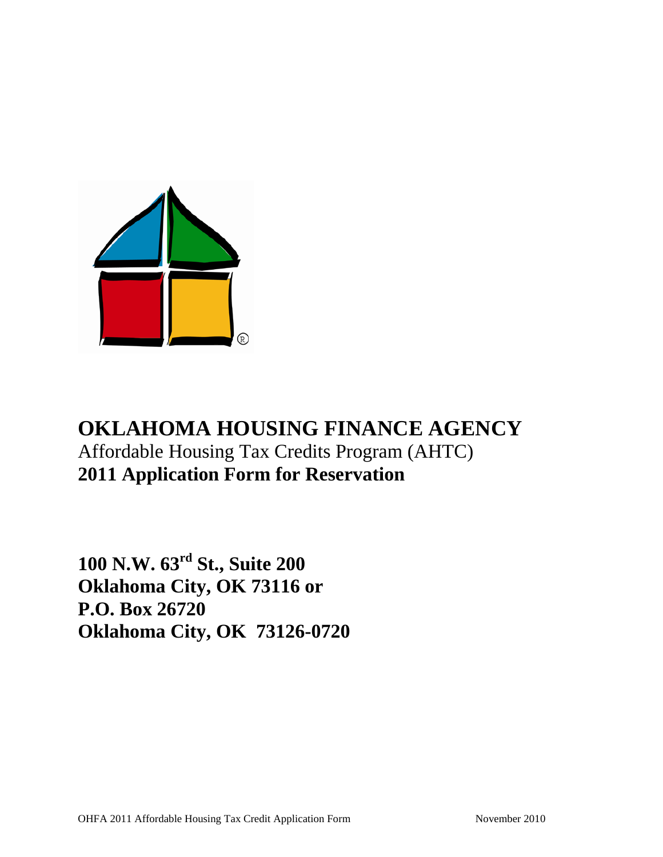

# **OKLAHOMA HOUSING FINANCE AGENCY** Affordable Housing Tax Credits Program (AHTC) **2011 Application Form for Reservation**

**100 N.W. 63rd St., Suite 200 Oklahoma City, OK 73116 or P.O. Box 26720 Oklahoma City, OK 73126-0720**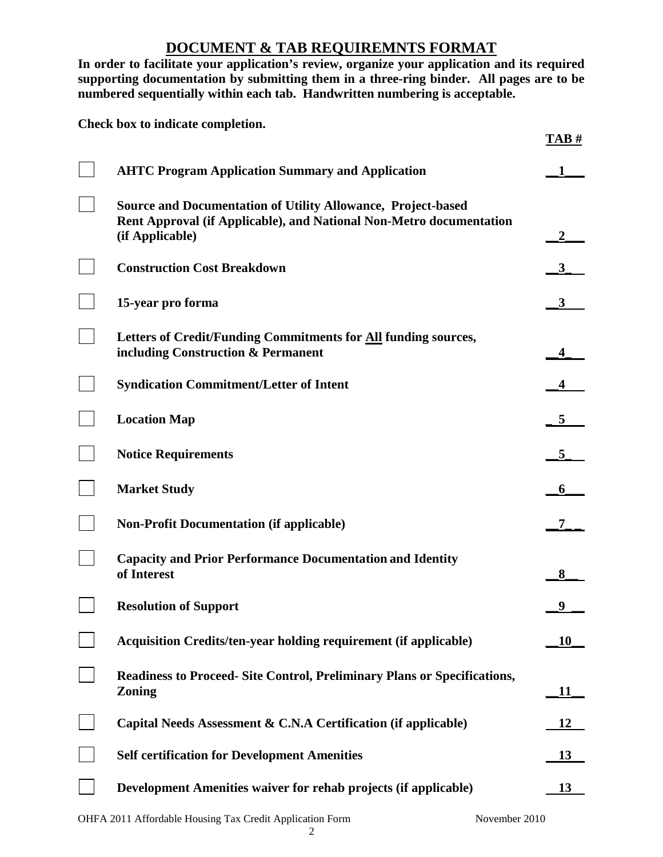## **DOCUMENT & TAB REQUIREMNTS FORMAT**

**In order to facilitate your application's review, organize your application and its required supporting documentation by submitting them in a three-ring binder. All pages are to be numbered sequentially within each tab. Handwritten numbering is acceptable.** 

**Check box to indicate completion.**

|                                                                                                                                                               | 1ADH |
|---------------------------------------------------------------------------------------------------------------------------------------------------------------|------|
| <b>AHTC Program Application Summary and Application</b>                                                                                                       |      |
| <b>Source and Documentation of Utility Allowance, Project-based</b><br>Rent Approval (if Applicable), and National Non-Metro documentation<br>(if Applicable) |      |
| <b>Construction Cost Breakdown</b>                                                                                                                            |      |
| 15-year pro forma                                                                                                                                             | 3    |
| Letters of Credit/Funding Commitments for All funding sources,<br>including Construction & Permanent                                                          |      |
| <b>Syndication Commitment/Letter of Intent</b>                                                                                                                |      |
| <b>Location Map</b>                                                                                                                                           | 5    |
| <b>Notice Requirements</b>                                                                                                                                    | 5    |
| <b>Market Study</b>                                                                                                                                           | 6    |
| <b>Non-Profit Documentation (if applicable)</b>                                                                                                               |      |
| <b>Capacity and Prior Performance Documentation and Identity</b><br>of Interest                                                                               | 8    |
| <b>Resolution of Support</b>                                                                                                                                  |      |
| <b>Acquisition Credits/ten-year holding requirement (if applicable)</b>                                                                                       | 10   |
| <b>Readiness to Proceed- Site Control, Preliminary Plans or Specifications,</b><br><b>Zoning</b>                                                              | 11   |
| Capital Needs Assessment & C.N.A Certification (if applicable)                                                                                                | 12   |
| <b>Self certification for Development Amenities</b>                                                                                                           | 13   |
| Development Amenities waiver for rehab projects (if applicable)                                                                                               | 13   |

2

**TAB #**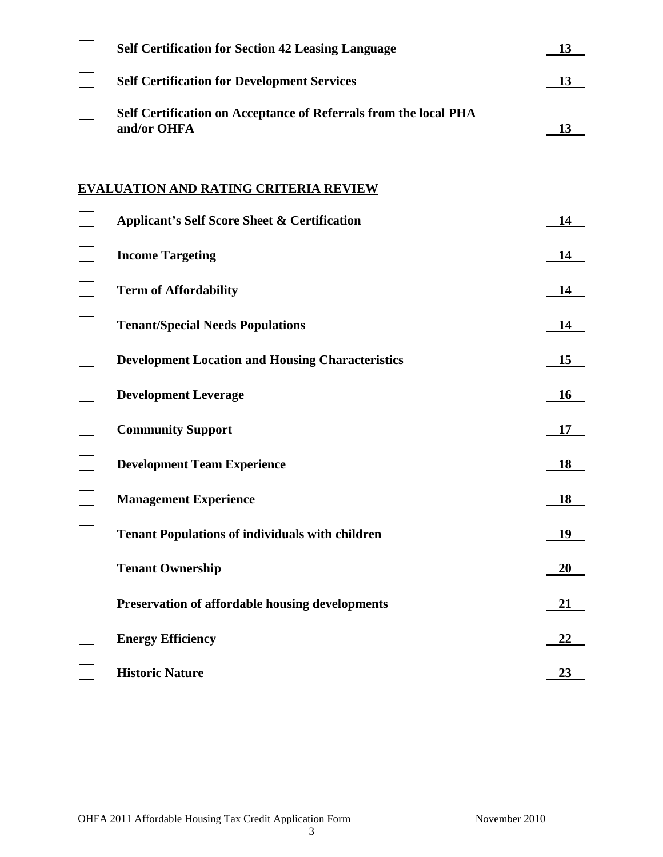| <b>Self Certification for Section 42 Leasing Language</b>                       | 13        |
|---------------------------------------------------------------------------------|-----------|
| <b>Self Certification for Development Services</b>                              | 13        |
| Self Certification on Acceptance of Referrals from the local PHA<br>and/or OHFA | 13        |
| <b>EVALUATION AND RATING CRITERIA REVIEW</b>                                    |           |
| <b>Applicant's Self Score Sheet &amp; Certification</b>                         | 14        |
| <b>Income Targeting</b>                                                         | 14        |
| <b>Term of Affordability</b>                                                    | 14        |
| <b>Tenant/Special Needs Populations</b>                                         | 14        |
| <b>Development Location and Housing Characteristics</b>                         | 15        |
| <b>Development Leverage</b>                                                     | <b>16</b> |
| <b>Community Support</b>                                                        | 17        |
| <b>Development Team Experience</b>                                              | 18        |
| <b>Management Experience</b>                                                    | 18        |
| <b>Tenant Populations of individuals with children</b>                          | 19        |
| <b>Tenant Ownership</b>                                                         | 20        |
| Preservation of affordable housing developments                                 | <u>21</u> |
| <b>Energy Efficiency</b>                                                        | 22        |
| <b>Historic Nature</b>                                                          | <u>23</u> |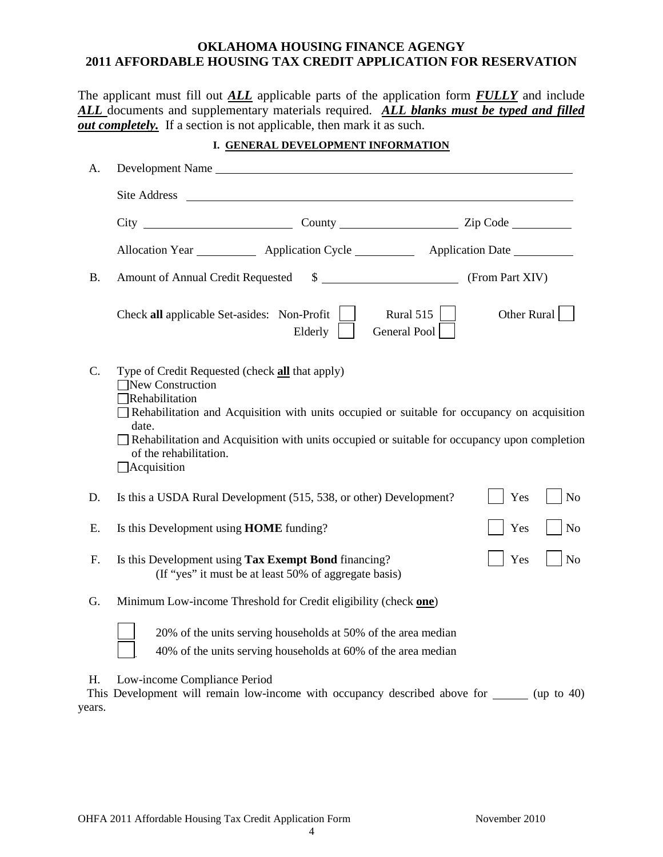#### **OKLAHOMA HOUSING FINANCE AGENGY 2011 AFFORDABLE HOUSING TAX CREDIT APPLICATION FOR RESERVATION**

The applicant must fill out *ALL* applicable parts of the application form *FULLY* and include *ALL* documents and supplementary materials required. *ALL blanks must be typed and filled out completely.* If a section is not applicable, then mark it as such.

#### **I. GENERAL DEVELOPMENT INFORMATION**

| A.              |                                                                                             | Development Name                                                                                                                                                                                                                               |                               |             |                |
|-----------------|---------------------------------------------------------------------------------------------|------------------------------------------------------------------------------------------------------------------------------------------------------------------------------------------------------------------------------------------------|-------------------------------|-------------|----------------|
|                 |                                                                                             | Site Address <u>and the set of the set of the set of the set of the set of the set of the set of the set of the set of the set of the set of the set of the set of the set of the set of the set of the set of the set of the se</u>           |                               |             |                |
|                 |                                                                                             |                                                                                                                                                                                                                                                |                               |             |                |
|                 |                                                                                             | Allocation Year ____________ Application Cycle ___________ Application Date _________                                                                                                                                                          |                               |             |                |
| <b>B.</b>       | Amount of Annual Credit Requested                                                           |                                                                                                                                                                                                                                                | $\frac{1}{2}$ (From Part XIV) |             |                |
|                 |                                                                                             | Check all applicable Set-asides: Non-Profit<br>Elderly                                                                                                                                                                                         | Rural 515<br>General Pool     | Other Rural |                |
| $\mathcal{C}$ . | New Construction<br>Rehabilitation<br>date.<br>of the rehabilitation.<br>$\Box$ Acquisition | Type of Credit Requested (check all that apply)<br>Rehabilitation and Acquisition with units occupied or suitable for occupancy on acquisition<br>Rehabilitation and Acquisition with units occupied or suitable for occupancy upon completion |                               |             |                |
| D.              |                                                                                             | Is this a USDA Rural Development (515, 538, or other) Development?                                                                                                                                                                             |                               | Yes         | N <sub>o</sub> |
| E.              |                                                                                             | Is this Development using HOME funding?                                                                                                                                                                                                        |                               | Yes         | N <sub>o</sub> |
| F.              |                                                                                             | Is this Development using Tax Exempt Bond financing?<br>(If "yes" it must be at least 50% of aggregate basis)                                                                                                                                  |                               | Yes         | N <sub>o</sub> |
| G.              |                                                                                             | Minimum Low-income Threshold for Credit eligibility (check one)                                                                                                                                                                                |                               |             |                |
|                 |                                                                                             | 20% of the units serving households at 50% of the area median<br>40% of the units serving households at 60% of the area median                                                                                                                 |                               |             |                |
| Η.<br>years.    | Low-income Compliance Period                                                                | This Development will remain low-income with occupancy described above for ______ (up to 40)                                                                                                                                                   |                               |             |                |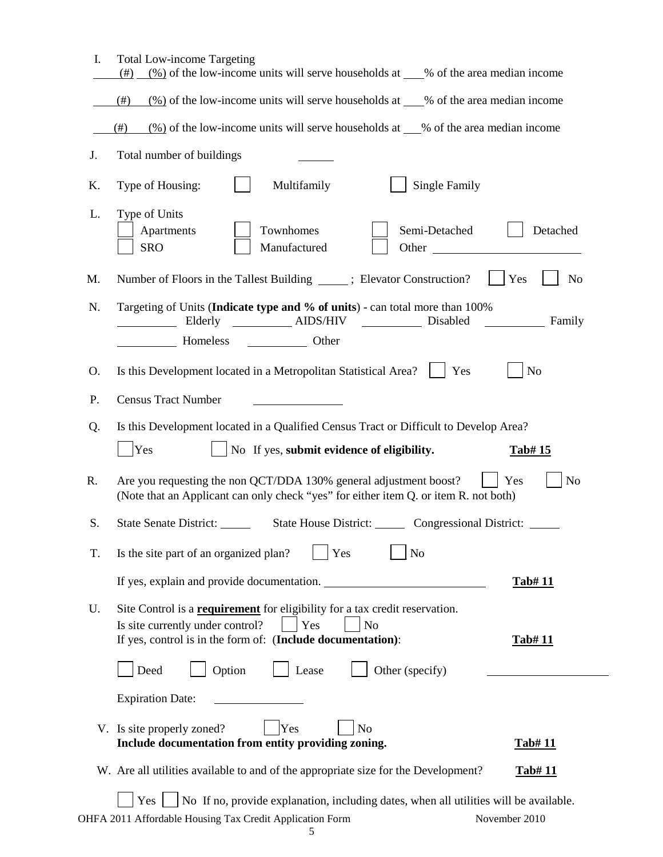| I. | <b>Total Low-income Targeting</b><br>$\frac{(\%)}{(\%)}$ of the low-income units will serve households at ___% of the area median income<br>(# )                                                               |                       |
|----|----------------------------------------------------------------------------------------------------------------------------------------------------------------------------------------------------------------|-----------------------|
|    | $\frac{(\%)}{(\%)}$ of the low-income units will serve households at ___% of the area median income<br>(#)                                                                                                     |                       |
|    | $\frac{(\%)}{(\%)}$ of the low-income units will serve households at __% of the area median income<br>(#)                                                                                                      |                       |
| J. | Total number of buildings                                                                                                                                                                                      |                       |
| K. | Multifamily<br><b>Single Family</b><br>Type of Housing:                                                                                                                                                        |                       |
| L. | Type of Units<br>Townhomes<br>Semi-Detached<br>Apartments<br><b>SRO</b><br>Manufactured                                                                                                                        | Detached<br>Other     |
| M. | Number of Floors in the Tallest Building ______; Elevator Construction?                                                                                                                                        | Yes<br>N <sub>o</sub> |
| N. | Targeting of Units (Indicate type and % of units) - can total more than 100%<br>Elderly _________ AIDS/HIV _________ Disabled                                                                                  | Family                |
|    |                                                                                                                                                                                                                |                       |
| 0. | Is this Development located in a Metropolitan Statistical Area?<br>Yes                                                                                                                                         | N <sub>o</sub>        |
| P. | <b>Census Tract Number</b>                                                                                                                                                                                     |                       |
| Q. | Is this Development located in a Qualified Census Tract or Difficult to Develop Area?                                                                                                                          |                       |
|    |                                                                                                                                                                                                                |                       |
|    | $\vert$ No If yes, submit evidence of eligibility.<br><b>Yes</b>                                                                                                                                               | Tab# 15               |
| R. | Are you requesting the non QCT/DDA 130% general adjustment boost?<br>(Note that an Applicant can only check "yes" for either item Q. or item R. not both)                                                      | N <sub>o</sub><br>Yes |
| S. | State House District: Congressional District:<br><b>State Senate District:</b>                                                                                                                                 |                       |
| T. | Is the site part of an organized plan?<br>Yes<br>No                                                                                                                                                            |                       |
|    | If yes, explain and provide documentation.                                                                                                                                                                     | <u>Tab# 11</u>        |
| U. | Site Control is a <b>requirement</b> for eligibility for a tax credit reservation.<br>Yes<br>Is site currently under control?<br>N <sub>o</sub><br>If yes, control is in the form of: (Include documentation): | <u>Tab# 11</u>        |
|    | Option<br>Deed<br>Lease<br>Other (specify)                                                                                                                                                                     |                       |
|    | <b>Expiration Date:</b>                                                                                                                                                                                        |                       |
|    | N <sub>o</sub><br>V. Is site properly zoned?<br>Yes<br>Include documentation from entity providing zoning.                                                                                                     | <u>Tab# 11</u>        |
|    | W. Are all utilities available to and of the appropriate size for the Development?                                                                                                                             | <u>Tab# 11</u>        |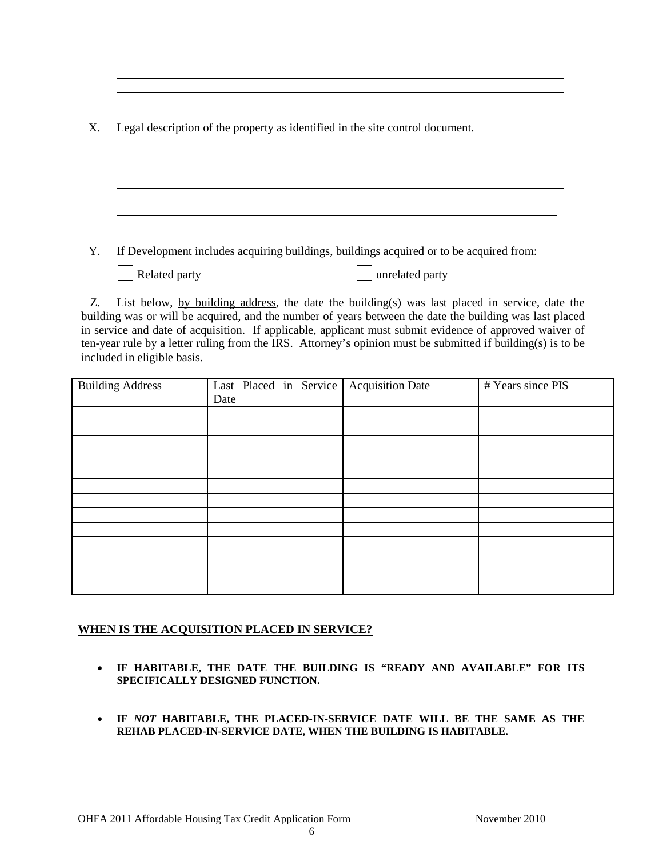| Χ. |  |  |  | Legal description of the property as identified in the site control document. |
|----|--|--|--|-------------------------------------------------------------------------------|
|    |  |  |  |                                                                               |

Y. If Development includes acquiring buildings, buildings acquired or to be acquired from:

| Related party |
|---------------|

party unrelated party

 Z. List below, by building address, the date the building(s) was last placed in service, date the building was or will be acquired, and the number of years between the date the building was last placed in service and date of acquisition. If applicable, applicant must submit evidence of approved waiver of ten-year rule by a letter ruling from the IRS. Attorney's opinion must be submitted if building(s) is to be included in eligible basis.

| <b>Building Address</b> | Last Placed in Service Acquisition Date | # Years since PIS |
|-------------------------|-----------------------------------------|-------------------|
|                         | Date                                    |                   |
|                         |                                         |                   |
|                         |                                         |                   |
|                         |                                         |                   |
|                         |                                         |                   |
|                         |                                         |                   |
|                         |                                         |                   |
|                         |                                         |                   |
|                         |                                         |                   |
|                         |                                         |                   |
|                         |                                         |                   |
|                         |                                         |                   |
|                         |                                         |                   |
|                         |                                         |                   |

## **WHEN IS THE ACQUISITION PLACED IN SERVICE?**

- **IF HABITABLE, THE DATE THE BUILDING IS "READY AND AVAILABLE" FOR ITS SPECIFICALLY DESIGNED FUNCTION.**
- **IF** *NOT* **HABITABLE, THE PLACED-IN-SERVICE DATE WILL BE THE SAME AS THE REHAB PLACED-IN-SERVICE DATE, WHEN THE BUILDING IS HABITABLE.**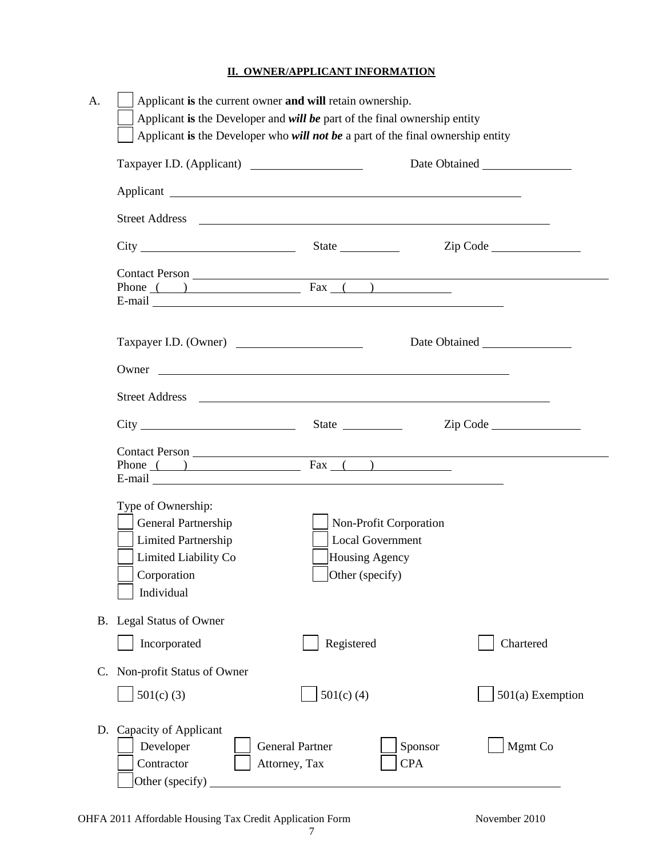## **II. OWNER/APPLICANT INFORMATION**

|                                                                                                                              |                                                                                                                                                                                                                                | Date Obtained    |
|------------------------------------------------------------------------------------------------------------------------------|--------------------------------------------------------------------------------------------------------------------------------------------------------------------------------------------------------------------------------|------------------|
|                                                                                                                              |                                                                                                                                                                                                                                |                  |
|                                                                                                                              |                                                                                                                                                                                                                                |                  |
|                                                                                                                              |                                                                                                                                                                                                                                | Zip Code         |
|                                                                                                                              | Phone $($ ) Fax $($ $)$                                                                                                                                                                                                        |                  |
| Taxpayer I.D. (Owner)                                                                                                        |                                                                                                                                                                                                                                |                  |
|                                                                                                                              | Owner                                                                                                                                                                                                                          |                  |
|                                                                                                                              | Street Address and the state of the state of the state of the state of the state of the state of the state of the state of the state of the state of the state of the state of the state of the state of the state of the stat |                  |
|                                                                                                                              |                                                                                                                                                                                                                                | Zip Code         |
|                                                                                                                              | Contact Person<br>Phone ( <u>)</u> Fax ( )                                                                                                                                                                                     |                  |
| Type of Ownership:<br>General Partnership<br><b>Limited Partnership</b><br>Limited Liability Co<br>Corporation<br>Individual | Non-Profit Corporation<br><b>Local Government</b><br>Housing Agency<br>$\Box$ Other (specify)                                                                                                                                  |                  |
| B. Legal Status of Owner                                                                                                     |                                                                                                                                                                                                                                |                  |
| Incorporated                                                                                                                 | Registered                                                                                                                                                                                                                     | Chartered        |
| Non-profit Status of Owner                                                                                                   |                                                                                                                                                                                                                                |                  |
| $501(c)$ (3)                                                                                                                 | $501(c)$ (4)                                                                                                                                                                                                                   | 501(a) Exemption |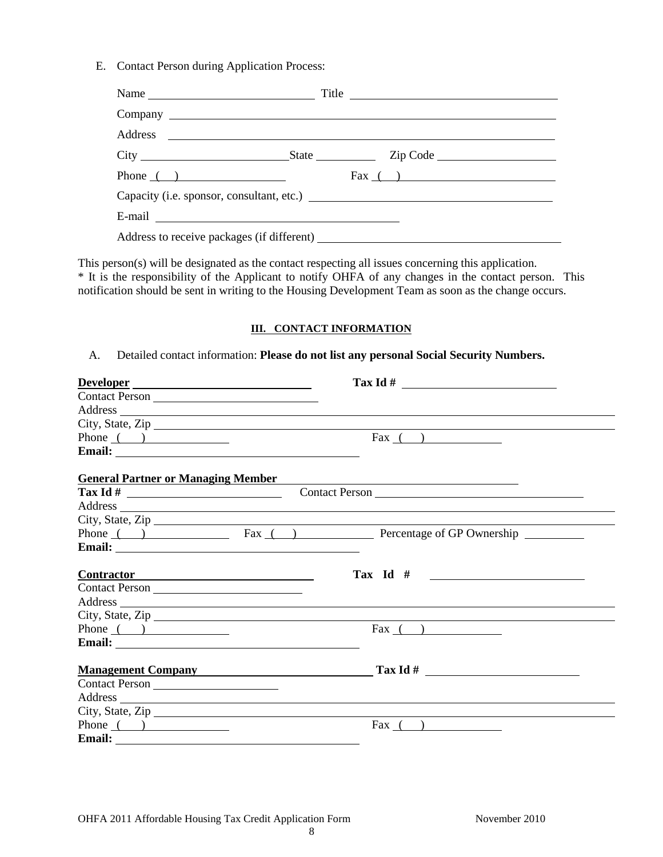E. Contact Person during Application Process:

| Name                                                                                                                                                                                                                                 | Title                                     |
|--------------------------------------------------------------------------------------------------------------------------------------------------------------------------------------------------------------------------------------|-------------------------------------------|
|                                                                                                                                                                                                                                      |                                           |
|                                                                                                                                                                                                                                      |                                           |
|                                                                                                                                                                                                                                      |                                           |
| Phone $\qquad)$                                                                                                                                                                                                                      | $\text{Fax}$ ( )                          |
|                                                                                                                                                                                                                                      | Capacity (i.e. sponsor, consultant, etc.) |
| E-mail <u>example and the set of the set of the set of the set of the set of the set of the set of the set of the set of the set of the set of the set of the set of the set of the set of the set of the set of the set of the </u> |                                           |
|                                                                                                                                                                                                                                      |                                           |

This person(s) will be designated as the contact respecting all issues concerning this application. \* It is the responsibility of the Applicant to notify OHFA of any changes in the contact person. This notification should be sent in writing to the Housing Development Team as soon as the change occurs.

#### **III. CONTACT INFORMATION**

A. Detailed contact information: **Please do not list any personal Social Security Numbers.**

| Developer                                 |                                                                                                                                                                                                                                |  |
|-------------------------------------------|--------------------------------------------------------------------------------------------------------------------------------------------------------------------------------------------------------------------------------|--|
| Contact Person                            |                                                                                                                                                                                                                                |  |
|                                           | Address expression and the contract of the contract of the contract of the contract of the contract of the contract of the contract of the contract of the contract of the contract of the contract of the contract of the con |  |
|                                           | City, State, Zip                                                                                                                                                                                                               |  |
| Phone $($ $)$                             | $\text{Fax}$ ( )                                                                                                                                                                                                               |  |
|                                           |                                                                                                                                                                                                                                |  |
| <b>General Partner or Managing Member</b> |                                                                                                                                                                                                                                |  |
|                                           |                                                                                                                                                                                                                                |  |
|                                           | Address and the contract of the contract of the contract of the contract of the contract of the contract of the contract of the contract of the contract of the contract of the contract of the contract of the contract of th |  |
|                                           |                                                                                                                                                                                                                                |  |
|                                           | Phone ( ) Fax ( ) Percentage of GP Ownership                                                                                                                                                                                   |  |
|                                           |                                                                                                                                                                                                                                |  |
| Contractor Manual Contractor              | Tax Id $\#$                                                                                                                                                                                                                    |  |
| Contact Person                            |                                                                                                                                                                                                                                |  |
|                                           | Address and the contract of the contract of the contract of the contract of the contract of the contract of the contract of the contract of the contract of the contract of the contract of the contract of the contract of th |  |
|                                           |                                                                                                                                                                                                                                |  |
| Phone $($ $)$                             | $\text{Fax}$ ( )                                                                                                                                                                                                               |  |
|                                           |                                                                                                                                                                                                                                |  |
|                                           | Management Company Tax Id #                                                                                                                                                                                                    |  |
| Contact Person                            |                                                                                                                                                                                                                                |  |
|                                           | Address and the contract of the contract of the contract of the contract of the contract of the contract of the contract of the contract of the contract of the contract of the contract of the contract of the contract of th |  |
|                                           |                                                                                                                                                                                                                                |  |
| Phone $($ $)$                             | Fax $($ $)$                                                                                                                                                                                                                    |  |
|                                           |                                                                                                                                                                                                                                |  |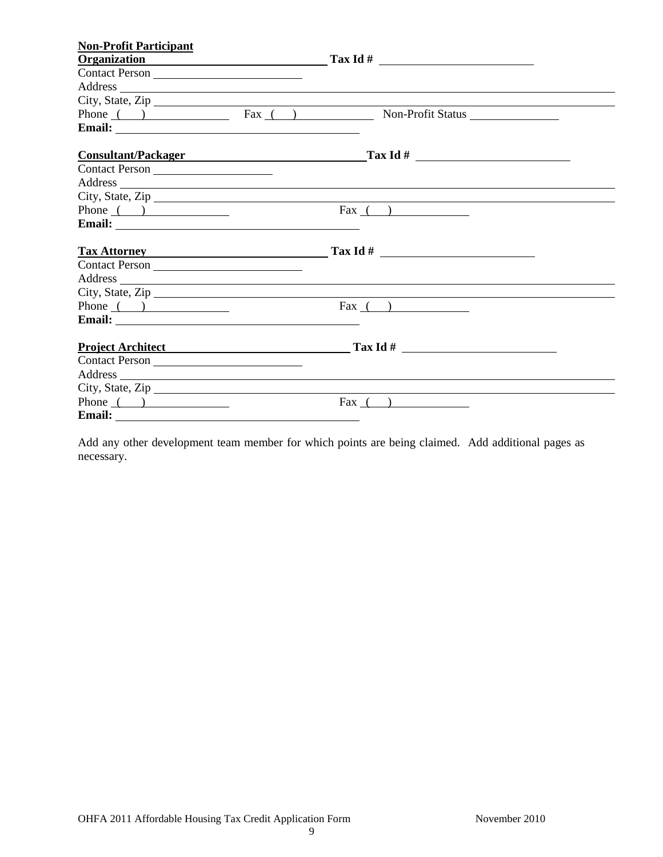| <b>Non-Profit Participant</b>              |                                                                                                                                                                                                                                |  |
|--------------------------------------------|--------------------------------------------------------------------------------------------------------------------------------------------------------------------------------------------------------------------------------|--|
|                                            | $Organization$ $Tax Id #$                                                                                                                                                                                                      |  |
| Contact Person                             |                                                                                                                                                                                                                                |  |
|                                            | Address and the contract of the contract of the contract of the contract of the contract of the contract of the contract of the contract of the contract of the contract of the contract of the contract of the contract of th |  |
|                                            |                                                                                                                                                                                                                                |  |
|                                            | Phone ( ) Fax ( ) Non-Profit Status Non-Profit Status                                                                                                                                                                          |  |
|                                            |                                                                                                                                                                                                                                |  |
|                                            | Consultant/Packager                                                                                                                                                                                                            |  |
|                                            |                                                                                                                                                                                                                                |  |
|                                            | Address                                                                                                                                                                                                                        |  |
|                                            |                                                                                                                                                                                                                                |  |
| Phone $($ $)$                              | $\text{Fax}$ ( )                                                                                                                                                                                                               |  |
|                                            |                                                                                                                                                                                                                                |  |
|                                            |                                                                                                                                                                                                                                |  |
| Contact Person                             |                                                                                                                                                                                                                                |  |
|                                            | Address and the contract of the contract of the contract of the contract of the contract of the contract of the contract of the contract of the contract of the contract of the contract of the contract of the contract of th |  |
|                                            | City, State, Zip                                                                                                                                                                                                               |  |
| Phone $($ $)$                              | $\text{Fax}$ ( )                                                                                                                                                                                                               |  |
|                                            |                                                                                                                                                                                                                                |  |
| Project Architect <b>Project Architect</b> | $\frac{1}{\text{Tax Id}} \frac{H}{H}$                                                                                                                                                                                          |  |
| Contact Person                             |                                                                                                                                                                                                                                |  |
|                                            | Address and the contract of the contract of the contract of the contract of the contract of the contract of the contract of the contract of the contract of the contract of the contract of the contract of the contract of th |  |
| City, State, Zip                           |                                                                                                                                                                                                                                |  |
| Phone $($ $)$                              | Fax $( )$                                                                                                                                                                                                                      |  |
| Email: <u>Email:</u>                       |                                                                                                                                                                                                                                |  |

Add any other development team member for which points are being claimed. Add additional pages as necessary.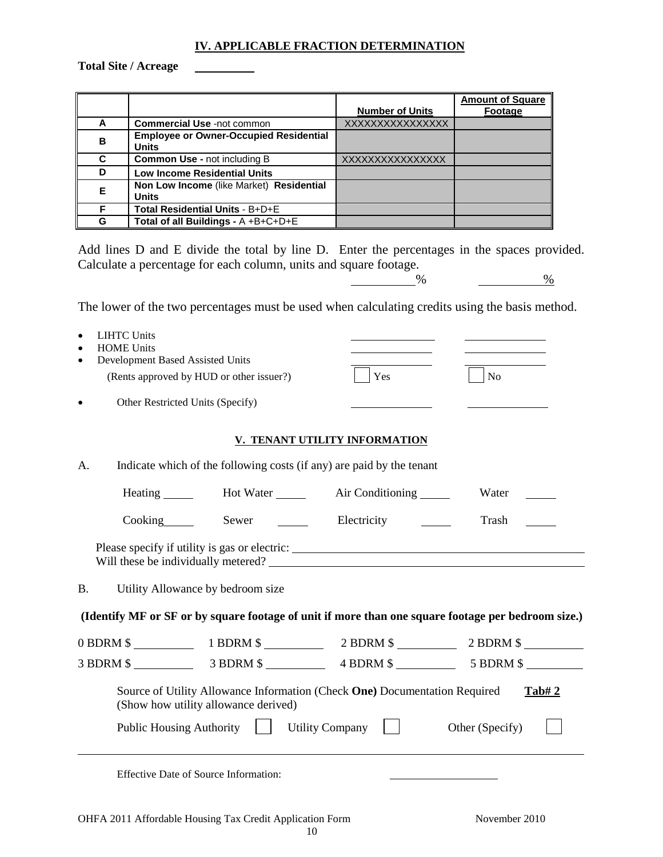#### **IV. APPLICABLE FRACTION DETERMINATION**

**Total Site / Acreage**

|   |                                                               | <b>Number of Units</b> | <b>Amount of Square</b><br>Footage |
|---|---------------------------------------------------------------|------------------------|------------------------------------|
| A | <b>Commercial Use -not common</b>                             | XXXXXXXXXXXXXXXX       |                                    |
| в | <b>Employee or Owner-Occupied Residential</b><br><b>Units</b> |                        |                                    |
| C | <b>Common Use - not including B</b>                           | XXXXXXXXXXXXXXXX       |                                    |
| D | <b>Low Income Residential Units</b>                           |                        |                                    |
| Е | Non Low Income (like Market) Residential<br><b>Units</b>      |                        |                                    |
| F | Total Residential Units - B+D+E                               |                        |                                    |
| G | Total of all Buildings - A +B+C+D+E                           |                        |                                    |

Add lines D and E divide the total by line D. Enter the percentages in the spaces provided. Calculate a percentage for each column, units and square footage.

 $\frac{9}{6}$   $\frac{9}{6}$ 

The lower of the two percentages must be used when calculating credits using the basis method.

| <b>LIHTC Units</b><br>$\bullet$<br><b>HOME Units</b><br>Development Based Assisted Units |                                                                                                                          |                               |                                                                                                    |
|------------------------------------------------------------------------------------------|--------------------------------------------------------------------------------------------------------------------------|-------------------------------|----------------------------------------------------------------------------------------------------|
|                                                                                          | (Rents approved by HUD or other issuer?)                                                                                 | Yes                           | No                                                                                                 |
|                                                                                          | Other Restricted Units (Specify)                                                                                         |                               |                                                                                                    |
|                                                                                          |                                                                                                                          | V. TENANT UTILITY INFORMATION |                                                                                                    |
| А.                                                                                       | Indicate which of the following costs (if any) are paid by the tenant                                                    |                               |                                                                                                    |
|                                                                                          | Heating _______ Hot Water ______ Air Conditioning _____                                                                  |                               | Water                                                                                              |
| $\frac{1}{2}$ Cooking                                                                    | Sewer $\qquad \qquad \qquad$                                                                                             | Electricity                   | Trash                                                                                              |
|                                                                                          | Please specify if utility is gas or electric: ___________________________________<br>Will these be individually metered? |                               |                                                                                                    |
| <b>B.</b>                                                                                | Utility Allowance by bedroom size                                                                                        |                               |                                                                                                    |
|                                                                                          |                                                                                                                          |                               | (Identify MF or SF or by square footage of unit if more than one square footage per bedroom size.) |
|                                                                                          |                                                                                                                          |                               | 0 BDRM \$ 1 BDRM \$ 2 BDRM \$ 2 BDRM \$ 2 BDRM \$                                                  |
|                                                                                          |                                                                                                                          |                               |                                                                                                    |
|                                                                                          | Source of Utility Allowance Information (Check One) Documentation Required<br>(Show how utility allowance derived)       |                               | <u>Tab#2</u>                                                                                       |
|                                                                                          | <b>Public Housing Authority</b>                                                                                          | <b>Utility Company</b>        | Other (Specify)                                                                                    |
|                                                                                          | Effective Date of Source Information:                                                                                    |                               |                                                                                                    |

OHFA 2011 Affordable Housing Tax Credit Application Form November 2010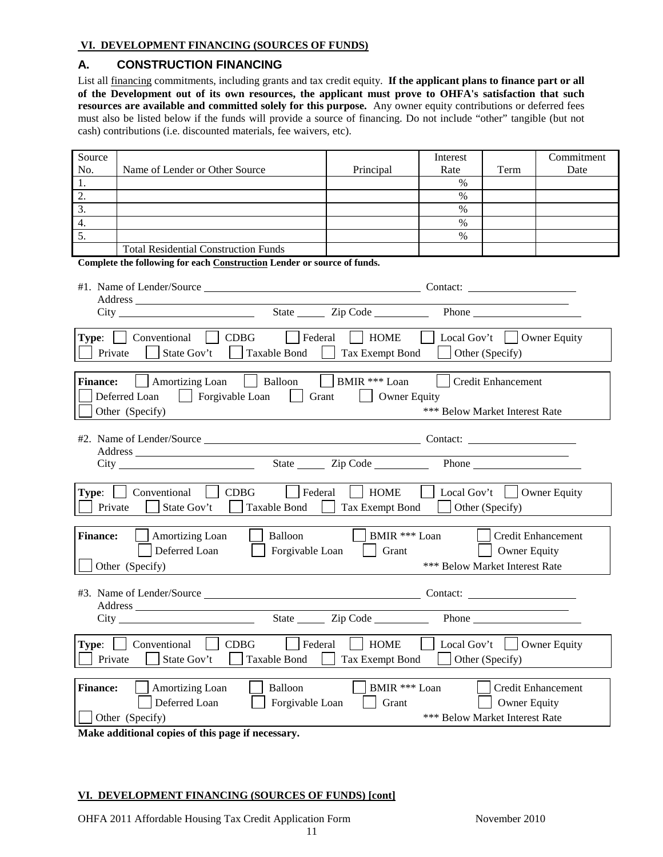#### **VI. DEVELOPMENT FINANCING (SOURCES OF FUNDS)**

#### **A. CONSTRUCTION FINANCING**

List all financing commitments, including grants and tax credit equity. **If the applicant plans to finance part or all of the Development out of its own resources, the applicant must prove to OHFA's satisfaction that such resources are available and committed solely for this purpose.** Any owner equity contributions or deferred fees must also be listed below if the funds will provide a source of financing. Do not include "other" tangible (but not cash) contributions (i.e. discounted materials, fee waivers, etc).

| Source                                                                                                         |                                                                         |                 | Interest                       |                           | Commitment                |  |
|----------------------------------------------------------------------------------------------------------------|-------------------------------------------------------------------------|-----------------|--------------------------------|---------------------------|---------------------------|--|
| No.                                                                                                            | Name of Lender or Other Source                                          | Principal       | Rate                           | Term                      | Date                      |  |
| 1.                                                                                                             |                                                                         |                 | $\%$                           |                           |                           |  |
| 2.                                                                                                             |                                                                         |                 | $\%$                           |                           |                           |  |
| $\overline{3}$ .                                                                                               |                                                                         |                 | $\%$                           |                           |                           |  |
| 4.                                                                                                             |                                                                         |                 | $\%$                           |                           |                           |  |
| 5.                                                                                                             |                                                                         |                 | $\%$                           |                           |                           |  |
|                                                                                                                | <b>Total Residential Construction Funds</b>                             |                 |                                |                           |                           |  |
|                                                                                                                | Complete the following for each Construction Lender or source of funds. |                 |                                |                           |                           |  |
|                                                                                                                |                                                                         |                 |                                |                           |                           |  |
|                                                                                                                |                                                                         |                 |                                |                           |                           |  |
|                                                                                                                |                                                                         |                 |                                |                           |                           |  |
|                                                                                                                |                                                                         |                 |                                | Phone                     |                           |  |
|                                                                                                                | <b>Type:</b> Conventional CDBG<br>$ \cdot $ Federal                     | HOME            | Local Gov't   Owner Equity     |                           |                           |  |
|                                                                                                                |                                                                         |                 |                                |                           |                           |  |
| Private                                                                                                        | State Gov't<br>Taxable Bond<br>$\mathbf{I}$                             | Tax Exempt Bond |                                | Other (Specify)           |                           |  |
|                                                                                                                |                                                                         |                 |                                |                           |                           |  |
| <b>Finance:</b>                                                                                                | Amortizing Loan     Balloon     BMIR *** Loan                           |                 |                                | <b>Credit Enhancement</b> |                           |  |
|                                                                                                                | Forgivable Loan   Grant<br>Deferred Loan                                | Owner Equity    |                                |                           |                           |  |
|                                                                                                                | Other (Specify)                                                         |                 | *** Below Market Interest Rate |                           |                           |  |
|                                                                                                                |                                                                         |                 |                                |                           |                           |  |
|                                                                                                                |                                                                         |                 |                                |                           |                           |  |
|                                                                                                                |                                                                         |                 |                                |                           |                           |  |
|                                                                                                                |                                                                         |                 |                                |                           |                           |  |
|                                                                                                                |                                                                         |                 |                                |                           |                           |  |
| <b>Type:</b> $\Box$ Conventional $\Box$ CDBG<br><b>HOME</b><br>    Local Gov't     Owner Equity<br>$ $ Federal |                                                                         |                 |                                |                           |                           |  |
| Private                                                                                                        | Taxable Bond<br>State Gov't                                             | Tax Exempt Bond | $\Box$ Other (Specify)         |                           |                           |  |
|                                                                                                                |                                                                         |                 |                                |                           |                           |  |
| <b>Finance:</b>                                                                                                | Balloon<br>Amortizing Loan                                              | BMIR *** Loan   | <b>Contract Contract</b>       |                           | Credit Enhancement        |  |
|                                                                                                                | Deferred Loan<br>$\Box$ Forgivable Loan                                 | $\vert$ Grant   |                                | $\Box$ Owner Equity       |                           |  |
|                                                                                                                | Other (Specify)                                                         |                 | *** Below Market Interest Rate |                           |                           |  |
|                                                                                                                |                                                                         |                 |                                |                           |                           |  |
|                                                                                                                |                                                                         |                 |                                |                           |                           |  |
|                                                                                                                |                                                                         |                 |                                |                           |                           |  |
|                                                                                                                |                                                                         |                 |                                |                           |                           |  |
|                                                                                                                |                                                                         |                 |                                |                           |                           |  |
| Conventional<br><b>CDBG</b><br>Federal<br><b>HOME</b><br>Local Gov't<br><b>Owner Equity</b><br>Type:           |                                                                         |                 |                                |                           |                           |  |
| State Gov't<br><b>Taxable Bond</b><br>Other (Specify)<br>Private<br>Tax Exempt Bond                            |                                                                         |                 |                                |                           |                           |  |
|                                                                                                                |                                                                         |                 |                                |                           |                           |  |
| <b>Finance:</b>                                                                                                | Amortizing Loan<br>Balloon                                              | BMIR *** Loan   |                                |                           | <b>Credit Enhancement</b> |  |
|                                                                                                                | Deferred Loan<br>Forgivable Loan                                        | Grant           |                                | <b>Owner Equity</b>       |                           |  |
|                                                                                                                |                                                                         |                 | *** Below Market Interest Rate |                           |                           |  |
|                                                                                                                | Other (Specify)<br>Molze additional conjec of this nage if necessary    |                 |                                |                           |                           |  |

**Make additional copies of this page if necessary.**

#### **VI. DEVELOPMENT FINANCING (SOURCES OF FUNDS) [cont]**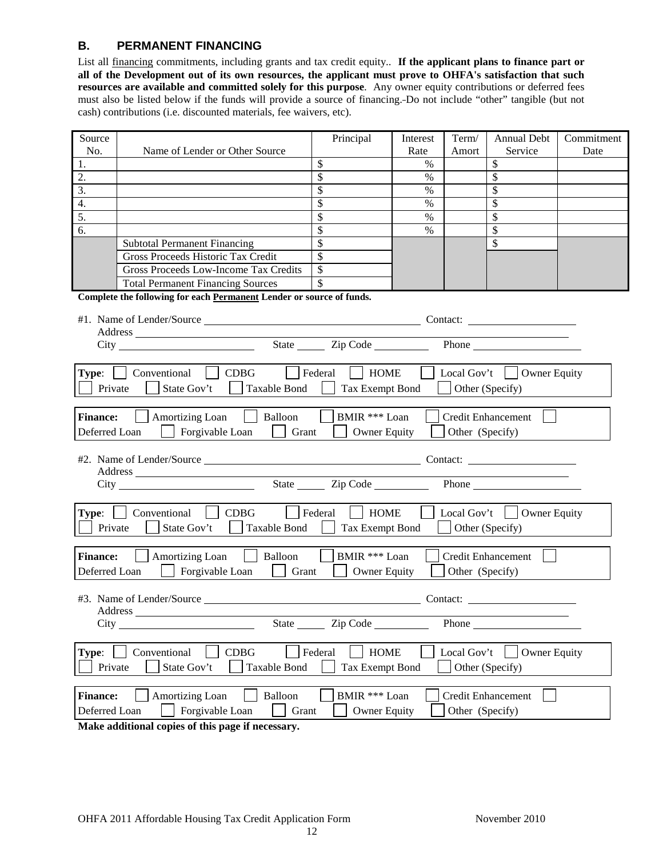#### **B. PERMANENT FINANCING**

List all financing commitments, including grants and tax credit equity.. **If the applicant plans to finance part or all of the Development out of its own resources, the applicant must prove to OHFA's satisfaction that such resources are available and committed solely for this purpose**. Any owner equity contributions or deferred fees must also be listed below if the funds will provide a source of financing. Do not include "other" tangible (but not cash) contributions (i.e. discounted materials, fee waivers, etc).

| Source                                                                                                                                                                                                                                                                       |                                                                                                                                                                                                                                | Principal                            | Interest      | Term/           | <b>Annual Debt</b>                                       | Commitment |
|------------------------------------------------------------------------------------------------------------------------------------------------------------------------------------------------------------------------------------------------------------------------------|--------------------------------------------------------------------------------------------------------------------------------------------------------------------------------------------------------------------------------|--------------------------------------|---------------|-----------------|----------------------------------------------------------|------------|
| No.                                                                                                                                                                                                                                                                          | Name of Lender or Other Source                                                                                                                                                                                                 |                                      | Rate          | Amort           | Service                                                  | Date       |
| 1.                                                                                                                                                                                                                                                                           |                                                                                                                                                                                                                                | \$                                   | $\%$          |                 | \$                                                       |            |
| 2.                                                                                                                                                                                                                                                                           |                                                                                                                                                                                                                                | $\overline{\mathbb{S}}$              | $\%$          |                 | $\overline{\mathbf{s}}$                                  |            |
| 3.                                                                                                                                                                                                                                                                           |                                                                                                                                                                                                                                |                                      | $\frac{0}{0}$ |                 | $\mathbb{S}$                                             |            |
| 4.                                                                                                                                                                                                                                                                           |                                                                                                                                                                                                                                | \$                                   | $\%$          |                 | $\mathbb{S}$                                             |            |
| 5.                                                                                                                                                                                                                                                                           |                                                                                                                                                                                                                                | \$                                   | $\%$          |                 | $\mathbb{S}$                                             |            |
| 6.                                                                                                                                                                                                                                                                           |                                                                                                                                                                                                                                | \$                                   | $\%$          |                 | $\mathcal{S}$                                            |            |
|                                                                                                                                                                                                                                                                              | <b>Subtotal Permanent Financing</b>                                                                                                                                                                                            | \$                                   |               |                 | \$                                                       |            |
|                                                                                                                                                                                                                                                                              | Gross Proceeds Historic Tax Credit                                                                                                                                                                                             | \$                                   |               |                 |                                                          |            |
|                                                                                                                                                                                                                                                                              | <b>Gross Proceeds Low-Income Tax Credits</b>                                                                                                                                                                                   | \$                                   |               |                 |                                                          |            |
|                                                                                                                                                                                                                                                                              | <b>Total Permanent Financing Sources</b>                                                                                                                                                                                       | \$                                   |               |                 |                                                          |            |
|                                                                                                                                                                                                                                                                              | Complete the following for each Permanent Lender or source of funds.                                                                                                                                                           |                                      |               |                 |                                                          |            |
|                                                                                                                                                                                                                                                                              | City the contract of the contract of the contract of the contract of the contract of the contract of the contract of the contract of the contract of the contract of the contract of the contract of the contract of the contr | State <u>Cip</u> Code                |               |                 | the contract of the contract of the contract of<br>Phone |            |
| Private                                                                                                                                                                                                                                                                      | $\vert$ Federal<br><b>Type:</b> $\Box$ Conventional $\Box$ CDBG<br>State Gov't   Taxable Bond<br>$\mathbf{L}$                                                                                                                  | HOME<br>$\pm$<br>Tax Exempt Bond     |               |                 | Local Gov't   $\vert$ Owner Equity<br>Other (Specify)    |            |
| <b>Finance:</b><br>Deferred Loan                                                                                                                                                                                                                                             | Balloon<br>  Amortizing Loan<br>Forgivable Loan<br>Grant                                                                                                                                                                       | BMIR *** Loan<br><b>Owner Equity</b> |               | Other (Specify) | <b>Credit Enhancement</b>                                |            |
|                                                                                                                                                                                                                                                                              |                                                                                                                                                                                                                                |                                      |               |                 |                                                          |            |
| State <u>Cip</u> Code Communication<br>Phone has a series of the series of the series of the series of the series of the series of the series of the series of the series of the series of the series of the series of the series of the series of the series of the<br>City |                                                                                                                                                                                                                                |                                      |               |                 |                                                          |            |
| $\vert$ CDBG<br>Local Gov't   $\vert$ Owner Equity<br>Conventional<br>Federal<br>HOME<br>Type:<br>Private<br>State Gov't<br>Taxable Bond<br>Tax Exempt Bond<br>Other (Specify)                                                                                               |                                                                                                                                                                                                                                |                                      |               |                 |                                                          |            |
| Balloon<br>BMIR *** Loan<br><b>Finance:</b><br>Amortizing Loan<br><b>Credit Enhancement</b><br>Forgivable Loan<br>Other (Specify)<br>Deferred Loan<br>Grant<br><b>Owner Equity</b>                                                                                           |                                                                                                                                                                                                                                |                                      |               |                 |                                                          |            |
| Contact:<br>Address                                                                                                                                                                                                                                                          |                                                                                                                                                                                                                                |                                      |               |                 |                                                          |            |
| State $\_\_\_\_\_\$<br>Zip Code<br>Phone<br>City                                                                                                                                                                                                                             |                                                                                                                                                                                                                                |                                      |               |                 |                                                          |            |
| CDBG<br>Conventional<br>Federal<br><b>HOME</b><br><b>Owner Equity</b><br>Local Gov't<br>Type:<br>State Gov't<br><b>Taxable Bond</b><br>Other (Specify)<br>Private<br>Tax Exempt Bond                                                                                         |                                                                                                                                                                                                                                |                                      |               |                 |                                                          |            |
| Amortizing Loan<br>Balloon<br><b>Credit Enhancement</b><br><b>Finance:</b><br>BMIR *** Loan<br>Grant<br>Other (Specify)<br>Deferred Loan<br>Forgivable Loan<br>Owner Equity                                                                                                  |                                                                                                                                                                                                                                |                                      |               |                 |                                                          |            |

**Make additional copies of this page if necessary.**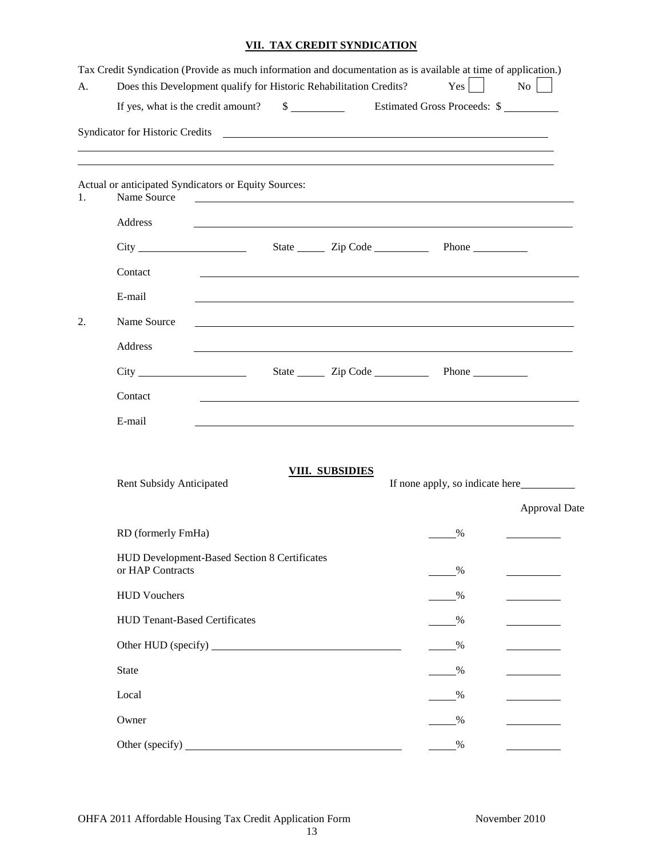## **VII. TAX CREDIT SYNDICATION**

| A. | Tax Credit Syndication (Provide as much information and documentation as is available at time of application.)<br>Does this Development qualify for Historic Rehabilitation Credits? |                                         | Yes                                                                                                                   | No                   |
|----|--------------------------------------------------------------------------------------------------------------------------------------------------------------------------------------|-----------------------------------------|-----------------------------------------------------------------------------------------------------------------------|----------------------|
|    | If yes, what is the credit amount? \$ Estimated Gross Proceeds: \$                                                                                                                   |                                         |                                                                                                                       |                      |
|    |                                                                                                                                                                                      |                                         |                                                                                                                       |                      |
|    | ,我们也不会有什么。""我们的人,我们也不会有什么?""我们的人,我们也不会有什么?""我们的人,我们也不会有什么?""我们的人,我们也不会有什么?""我们的人                                                                                                     |                                         |                                                                                                                       |                      |
| 1. | Actual or anticipated Syndicators or Equity Sources:<br>Name Source                                                                                                                  |                                         | <u> 1990 - John Harry Harry Harry Harry Harry Harry Harry Harry Harry Harry Harry Harry Harry Harry Harry Harry H</u> |                      |
|    | Address                                                                                                                                                                              |                                         |                                                                                                                       |                      |
|    |                                                                                                                                                                                      | State <u>Cip</u> Code <u>Containing</u> | Phone                                                                                                                 |                      |
|    | Contact                                                                                                                                                                              |                                         |                                                                                                                       |                      |
|    | E-mail                                                                                                                                                                               |                                         |                                                                                                                       |                      |
| 2. | Name Source                                                                                                                                                                          |                                         |                                                                                                                       |                      |
|    | Address                                                                                                                                                                              |                                         |                                                                                                                       |                      |
|    |                                                                                                                                                                                      |                                         |                                                                                                                       |                      |
|    | Contact                                                                                                                                                                              |                                         |                                                                                                                       |                      |
|    | E-mail                                                                                                                                                                               |                                         |                                                                                                                       |                      |
|    | <b>Rent Subsidy Anticipated</b>                                                                                                                                                      | <b>VIII. SUBSIDIES</b>                  |                                                                                                                       | <b>Approval Date</b> |
|    | RD (formerly FmHa)                                                                                                                                                                   |                                         | $\%$                                                                                                                  |                      |
|    | HUD Development-Based Section 8 Certificates<br>or HAP Contracts                                                                                                                     |                                         | $\frac{0}{0}$                                                                                                         |                      |
|    | <b>HUD Vouchers</b>                                                                                                                                                                  |                                         | $\%$                                                                                                                  |                      |
|    | <b>HUD Tenant-Based Certificates</b>                                                                                                                                                 |                                         | %                                                                                                                     |                      |
|    |                                                                                                                                                                                      |                                         | $\%$                                                                                                                  |                      |
|    | <b>State</b>                                                                                                                                                                         |                                         | $\frac{0}{0}$                                                                                                         |                      |
|    | Local                                                                                                                                                                                |                                         | $\%$                                                                                                                  |                      |
|    | Owner                                                                                                                                                                                |                                         | $\%$                                                                                                                  |                      |
|    |                                                                                                                                                                                      |                                         | $\frac{0}{0}$                                                                                                         |                      |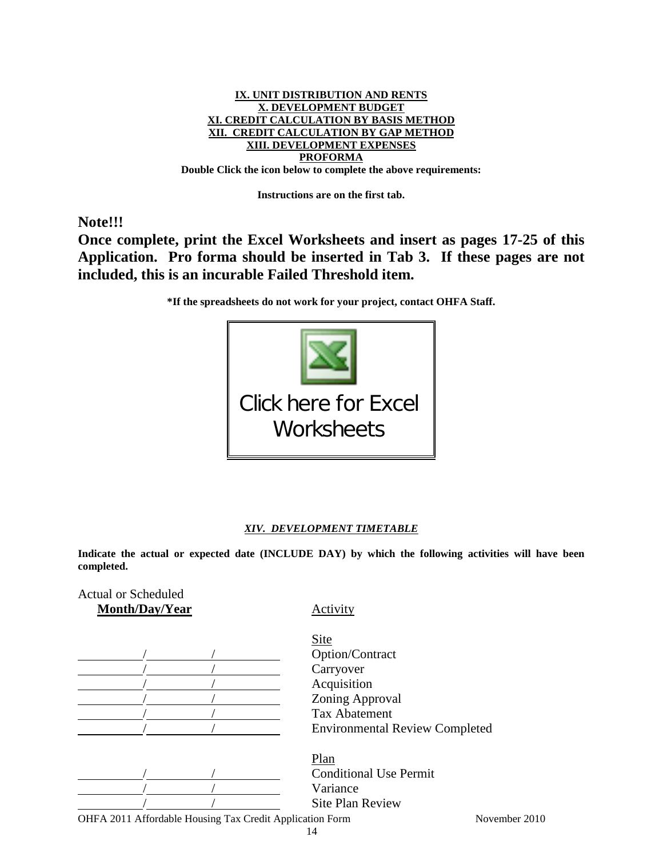

**Instructions are on the first tab.**

**Note!!!**

**Once complete, print the Excel Worksheets and insert as pages 17-25 of this Application. Pro forma should be inserted in Tab 3. If these pages are not included, this is an incurable Failed Threshold item.**

**\*If the spreadsheets do not work for your project, contact OHFA Staff.**



#### *XIV. DEVELOPMENT TIMETABLE*

**Indicate the actual or expected date (INCLUDE DAY) by which the following activities will have been completed.** 

| <b>Actual or Scheduled</b><br>Month/Day/Year             | Activity                              |
|----------------------------------------------------------|---------------------------------------|
|                                                          | <b>Site</b>                           |
|                                                          | Option/Contract                       |
|                                                          | Carryover                             |
|                                                          | Acquisition                           |
|                                                          | Zoning Approval                       |
|                                                          | <b>Tax Abatement</b>                  |
|                                                          | <b>Environmental Review Completed</b> |
|                                                          | Plan                                  |
|                                                          | <b>Conditional Use Permit</b>         |
|                                                          | Variance                              |
|                                                          | <b>Site Plan Review</b>               |
| OHFA 2011 Affordable Housing Tax Credit Application Form | November 2010                         |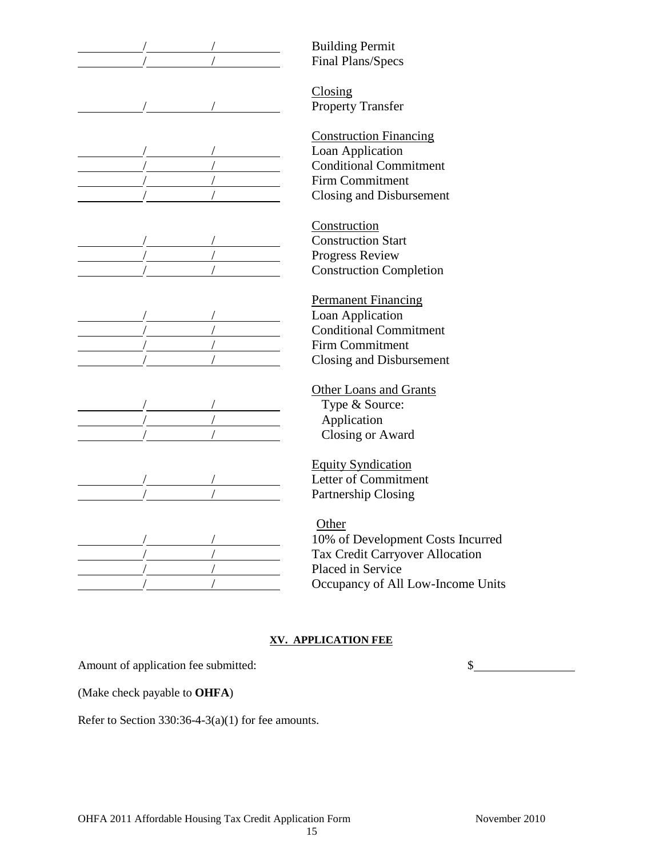|  | <b>Building Permit</b>     |
|--|----------------------------|
|  | Final Plans/Specs          |
|  |                            |
|  | Closing                    |
|  | <b>Property Transfer</b>   |
|  | <b>Construction Finand</b> |
|  | Loan Application           |
|  | <b>Conditional Commi</b>   |
|  | <b>Firm Commitment</b>     |
|  | Closing and Disburs        |
|  |                            |
|  | Construction               |
|  | <b>Construction Start</b>  |
|  | Progress Review            |
|  | <b>Construction Comp</b>   |
|  |                            |
|  | Permanent Financin         |
|  | Loan Application           |
|  | <b>Conditional Commi</b>   |
|  | Firm Commitment            |
|  | Closing and Disburs        |
|  | Other Loans and Gr         |
|  | Type & Source:             |
|  | Application                |
|  | <b>Closing or Award</b>    |
|  |                            |
|  | <b>Equity Syndication</b>  |
|  | Letter of Commitme         |
|  | Partnership Closing        |
|  |                            |
|  | Other                      |
|  | 10% of Developmer          |
|  | Tax Credit Carryov         |
|  | Placed in Service          |

Financing **Commitment** Disbursement

Completion

nancing **Commitment** Disbursement

and Grants

cation n mitment  $\log$ 

lopment Costs Incurred arryover Allocation Occupancy of All Low-Income Units

## **XV. APPLICATION FEE**

Amount of application fee submitted:  $\qquad \qquad$  \$

(Make check payable to **OHFA**)

Refer to Section 330:36-4-3(a)(1) for fee amounts.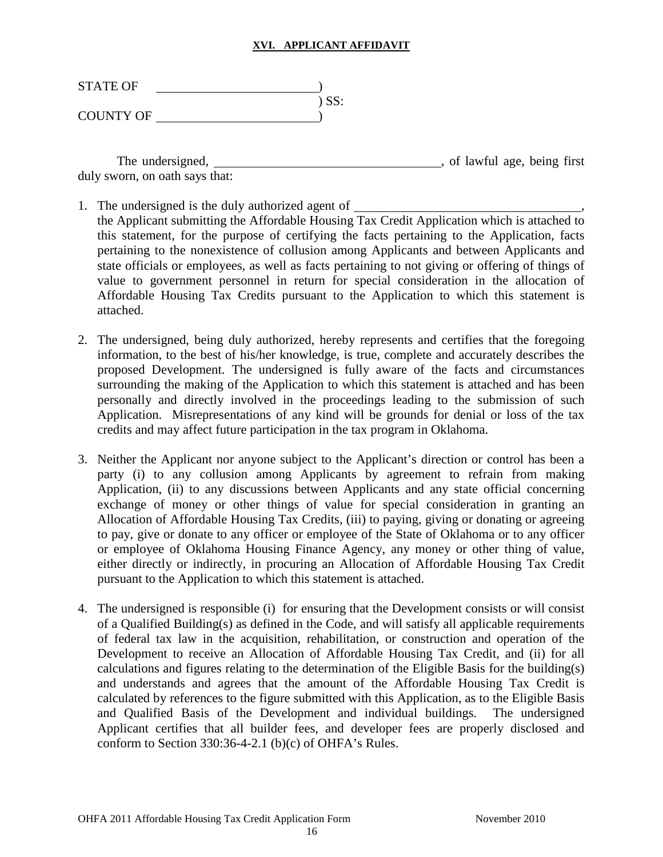#### **XVI. APPLICANT AFFIDAVIT**

| <b>STATE OF</b>  |         |
|------------------|---------|
|                  | $)$ SS: |
| <b>COUNTY OF</b> |         |

The undersigned,  $\qquad \qquad$  , of lawful age, being first duly sworn, on oath says that:

- 1. The undersigned is the duly authorized agent of the Applicant submitting the Affordable Housing Tax Credit Application which is attached to this statement, for the purpose of certifying the facts pertaining to the Application, facts pertaining to the nonexistence of collusion among Applicants and between Applicants and state officials or employees, as well as facts pertaining to not giving or offering of things of value to government personnel in return for special consideration in the allocation of Affordable Housing Tax Credits pursuant to the Application to which this statement is attached.
- 2. The undersigned, being duly authorized, hereby represents and certifies that the foregoing information, to the best of his/her knowledge, is true, complete and accurately describes the proposed Development. The undersigned is fully aware of the facts and circumstances surrounding the making of the Application to which this statement is attached and has been personally and directly involved in the proceedings leading to the submission of such Application. Misrepresentations of any kind will be grounds for denial or loss of the tax credits and may affect future participation in the tax program in Oklahoma.
- 3. Neither the Applicant nor anyone subject to the Applicant's direction or control has been a party (i) to any collusion among Applicants by agreement to refrain from making Application, (ii) to any discussions between Applicants and any state official concerning exchange of money or other things of value for special consideration in granting an Allocation of Affordable Housing Tax Credits, (iii) to paying, giving or donating or agreeing to pay, give or donate to any officer or employee of the State of Oklahoma or to any officer or employee of Oklahoma Housing Finance Agency, any money or other thing of value, either directly or indirectly, in procuring an Allocation of Affordable Housing Tax Credit pursuant to the Application to which this statement is attached.
- 4. The undersigned is responsible (i) for ensuring that the Development consists or will consist of a Qualified Building(s) as defined in the Code, and will satisfy all applicable requirements of federal tax law in the acquisition, rehabilitation, or construction and operation of the Development to receive an Allocation of Affordable Housing Tax Credit, and (ii) for all calculations and figures relating to the determination of the Eligible Basis for the building(s) and understands and agrees that the amount of the Affordable Housing Tax Credit is calculated by references to the figure submitted with this Application, as to the Eligible Basis and Qualified Basis of the Development and individual buildings. The undersigned Applicant certifies that all builder fees, and developer fees are properly disclosed and conform to Section 330:36-4-2.1 (b)(c) of OHFA's Rules.